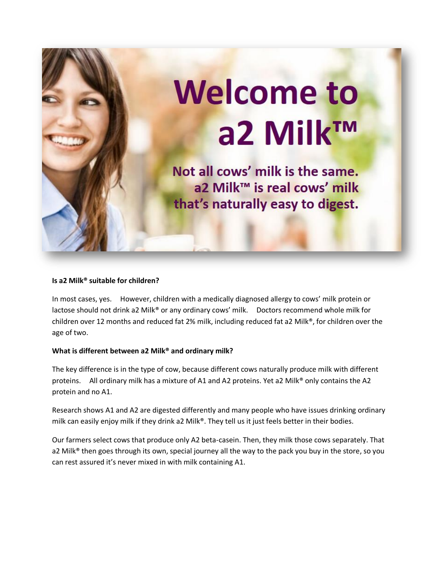

#### **Is a2 Milk® suitable for children?**

In most cases, yes. However, children with a medically diagnosed allergy to cows' milk protein or lactose should not drink a2 Milk® or any ordinary cows' milk. Doctors recommend whole milk for children over 12 months and reduced fat 2% milk, including reduced fat a2 Milk®, for children over the age of two.

## **What is different between a2 Milk® and ordinary milk?**

The key difference is in the type of cow, because different cows naturally produce milk with different proteins. All ordinary milk has a mixture of A1 and A2 proteins. Yet a2 Milk® only contains the A2 protein and no A1.

Research shows A1 and A2 are digested differently and many people who have issues drinking ordinary milk can easily enjoy milk if they drink a2 Milk®. They tell us it just feels better in their bodies.

Our farmers select cows that produce only A2 beta-casein. Then, they milk those cows separately. That a2 Milk<sup>®</sup> then goes through its own, special journey all the way to the pack you buy in the store, so you can rest assured it's never mixed in with milk containing A1.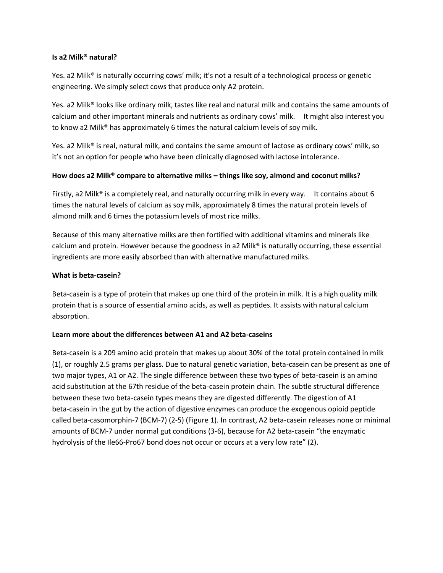#### **Is a2 Milk® natural?**

Yes. a2 Milk® is naturally occurring cows' milk; it's not a result of a technological process or genetic engineering. We simply select cows that produce only A2 protein.

Yes. a2 Milk® looks like ordinary milk, tastes like real and natural milk and contains the same amounts of calcium and other important minerals and nutrients as ordinary cows' milk. It might also interest you to know a2 Milk® has approximately 6 times the natural calcium levels of soy milk.

Yes. a2 Milk® is real, natural milk, and contains the same amount of lactose as ordinary cows' milk, so it's not an option for people who have been clinically diagnosed with lactose intolerance.

# **How does a2 Milk® compare to alternative milks – things like soy, almond and coconut milks?**

Firstly, a2 Milk<sup>®</sup> is a completely real, and naturally occurring milk in every way. It contains about 6 times the natural levels of calcium as soy milk, approximately 8 times the natural protein levels of almond milk and 6 times the potassium levels of most rice milks.

Because of this many alternative milks are then fortified with additional vitamins and minerals like calcium and protein. However because the goodness in a2 Milk® is naturally occurring, these essential ingredients are more easily absorbed than with alternative manufactured milks.

## **What is beta-casein?**

Beta-casein is a type of protein that makes up one third of the protein in milk. It is a high quality milk protein that is a source of essential amino acids, as well as peptides. It assists with natural calcium absorption.

## **Learn more about the differences between A1 and A2 beta-caseins**

Beta-casein is a 209 amino acid protein that makes up about 30% of the total protein contained in milk (1), or roughly 2.5 grams per glass. Due to natural genetic variation, beta-casein can be present as one of two major types, A1 or A2. The single difference between these two types of beta-casein is an amino acid substitution at the 67th residue of the beta-casein protein chain. The subtle structural difference between these two beta-casein types means they are digested differently. The digestion of A1 beta-casein in the gut by the action of digestive enzymes can produce the exogenous opioid peptide called beta-casomorphin-7 (BCM-7) (2-5) (Figure 1). In contrast, A2 beta-casein releases none or minimal amounts of BCM-7 under normal gut conditions (3-6), because for A2 beta-casein "the enzymatic hydrolysis of the Ile66-Pro67 bond does not occur or occurs at a very low rate" (2).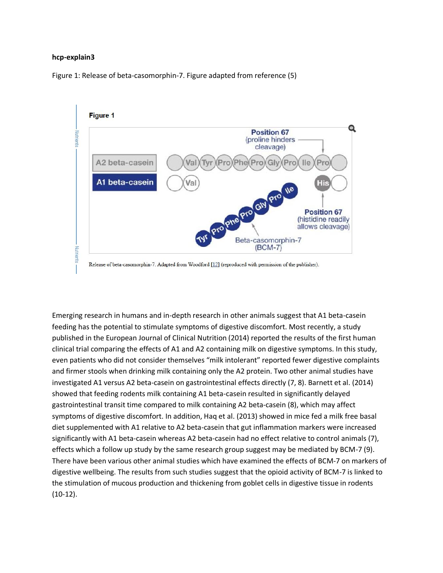#### **hcp-explain3**

Figure 1: Release of beta-casomorphin-7. Figure adapted from reference (5)



Emerging research in humans and in-depth research in other animals suggest that A1 beta-casein feeding has the potential to stimulate symptoms of digestive discomfort. Most recently, a study published in the European Journal of Clinical Nutrition (2014) reported the results of the first human clinical trial comparing the effects of A1 and A2 containing milk on digestive symptoms. In this study, even patients who did not consider themselves "milk intolerant" reported fewer digestive complaints and firmer stools when drinking milk containing only the A2 protein. Two other animal studies have investigated A1 versus A2 beta-casein on gastrointestinal effects directly (7, 8). Barnett et al. (2014) showed that feeding rodents milk containing A1 beta-casein resulted in significantly delayed gastrointestinal transit time compared to milk containing A2 beta-casein (8), which may affect symptoms of digestive discomfort. In addition, Haq et al. (2013) showed in mice fed a milk free basal diet supplemented with A1 relative to A2 beta-casein that gut inflammation markers were increased significantly with A1 beta-casein whereas A2 beta-casein had no effect relative to control animals (7), effects which a follow up study by the same research group suggest may be mediated by BCM-7 (9). There have been various other animal studies which have examined the effects of BCM-7 on markers of digestive wellbeing. The results from such studies suggest that the opioid activity of BCM-7 is linked to the stimulation of mucous production and thickening from goblet cells in digestive tissue in rodents (10-12).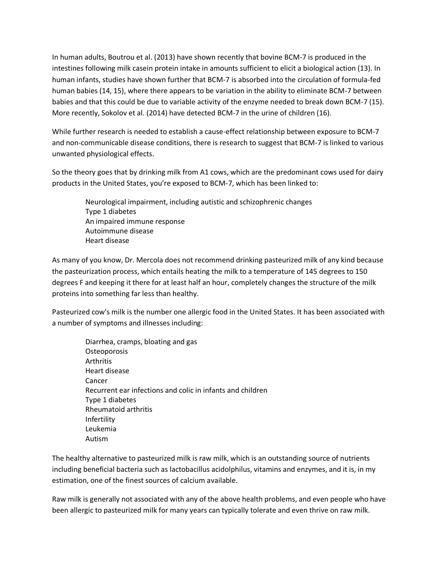In human adults, Boutrou et al. (2013) have shown recently that bovine BCM-7 is produced in the intestines following milk casein protein intake in amounts sufficient to elicit a biological action (13). In human infants, studies have shown further that BCM-7 is absorbed into the circulation of formula-fed human babies (14, 15), where there appears to be variation in the ability to eliminate BCM-7 between babies and that this could be due to variable activity of the enzyme needed to break down BCM-7 (15). More recently, Sokolov et al. (2014) have detected BCM-7 in the urine of children (16).

While further research is needed to establish a cause-effect relationship between exposure to BCM-7 and non-communicable disease conditions, there is research to suggest that BCM-7 is linked to various unwanted physiological effects.

So the theory goes that by drinking milk from A1 cows, which are the predominant cows used for dairy products in the United States, you're exposed to BCM-7, which has been linked to:

> Neurological impairment, including autistic and schizophrenic changes Type 1 diabetes An impaired immune response Autoimmune disease Heart disease

As many of you know, Dr. Mercola does not recommend drinking pasteurized milk of any kind because the pasteurization process, which entails heating the milk to a temperature of 145 degrees to 150 degrees F and keeping it there for at least half an hour, completely changes the structure of the milk proteins into something far less than healthy.

Pasteurized cow's milk is the number one allergic food in the United States. It has been associated with a number of symptoms and illnesses including:

 Diarrhea, cramps, bloating and gas **Osteoporosis**  Arthritis Heart disease Cancer Recurrent ear infections and colic in infants and children Type 1 diabetes Rheumatoid arthritis Infertility Leukemia Autism

The healthy alternative to pasteurized milk is raw milk, which is an outstanding source of nutrients including beneficial bacteria such as lactobacillus acidolphilus, vitamins and enzymes, and it is, in my estimation, one of the finest sources of calcium available.

Raw milk is generally not associated with any of the above health problems, and even people who have been allergic to pasteurized milk for many years can typically tolerate and even thrive on raw milk.